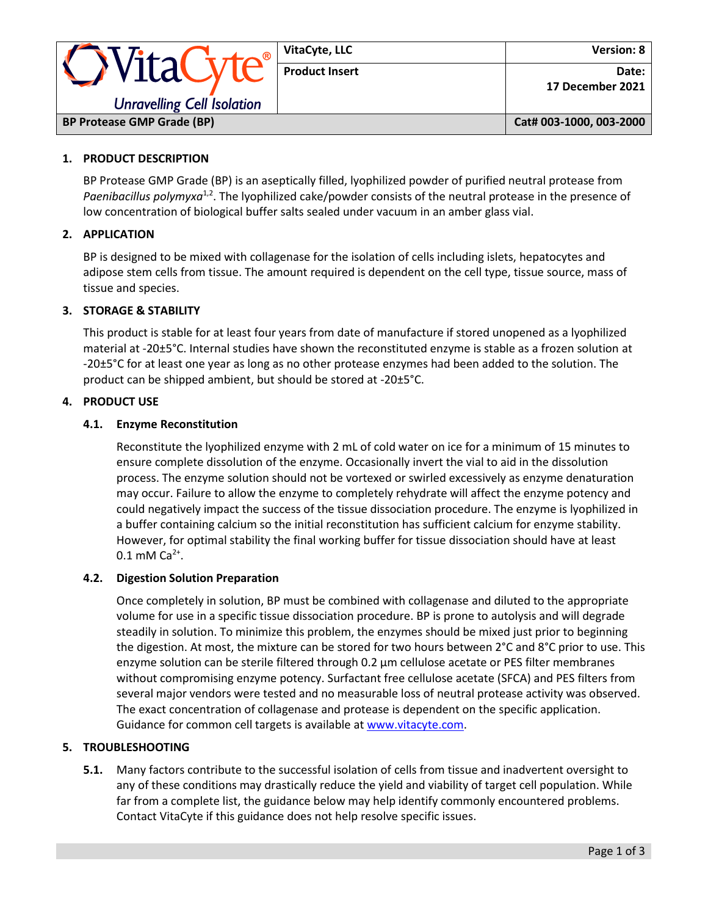| <b>OVitaCyte®</b><br><b>Unravelling Cell Isolation</b> | VitaCyte, LLC         | Version: 8                  |
|--------------------------------------------------------|-----------------------|-----------------------------|
|                                                        | <b>Product Insert</b> | Date: I<br>17 December 2021 |
| <b>BP Protease GMP Grade (BP)</b>                      |                       | Cat# 003-1000, 003-2000     |

# **1. PRODUCT DESCRIPTION**

BP Protease GMP Grade (BP) is an aseptically filled, lyophilized powder of purified neutral protease from Paenibacillus polymyxa<sup>1,2</sup>. The lyophilized cake/powder consists of the neutral protease in the presence of low concentration of biological buffer salts sealed under vacuum in an amber glass vial.

## **2. APPLICATION**

BP is designed to be mixed with collagenase for the isolation of cells including islets, hepatocytes and adipose stem cells from tissue. The amount required is dependent on the cell type, tissue source, mass of tissue and species.

## **3. STORAGE & STABILITY**

This product is stable for at least four years from date of manufacture if stored unopened as a lyophilized material at -20±5°C. Internal studies have shown the reconstituted enzyme is stable as a frozen solution at -20±5°C for at least one year as long as no other protease enzymes had been added to the solution. The product can be shipped ambient, but should be stored at -20±5°C.

# **4. PRODUCT USE**

## **4.1. Enzyme Reconstitution**

Reconstitute the lyophilized enzyme with 2 mL of cold water on ice for a minimum of 15 minutes to ensure complete dissolution of the enzyme. Occasionally invert the vial to aid in the dissolution process. The enzyme solution should not be vortexed or swirled excessively as enzyme denaturation may occur. Failure to allow the enzyme to completely rehydrate will affect the enzyme potency and could negatively impact the success of the tissue dissociation procedure. The enzyme is lyophilized in a buffer containing calcium so the initial reconstitution has sufficient calcium for enzyme stability. However, for optimal stability the final working buffer for tissue dissociation should have at least  $0.1 \text{ mM Ca}^{2+}.$ 

#### **4.2. Digestion Solution Preparation**

Once completely in solution, BP must be combined with collagenase and diluted to the appropriate volume for use in a specific tissue dissociation procedure. BP is prone to autolysis and will degrade steadily in solution. To minimize this problem, the enzymes should be mixed just prior to beginning the digestion. At most, the mixture can be stored for two hours between 2°C and 8°C prior to use. This enzyme solution can be sterile filtered through 0.2 μm cellulose acetate or PES filter membranes without compromising enzyme potency. Surfactant free cellulose acetate (SFCA) and PES filters from several major vendors were tested and no measurable loss of neutral protease activity was observed. The exact concentration of collagenase and protease is dependent on the specific application. Guidance for common cell targets is available a[t www.vitacyte.com.](http://www.vitacyte.com/)

#### **5. TROUBLESHOOTING**

**5.1.** Many factors contribute to the successful isolation of cells from tissue and inadvertent oversight to any of these conditions may drastically reduce the yield and viability of target cell population. While far from a complete list, the guidance below may help identify commonly encountered problems. Contact VitaCyte if this guidance does not help resolve specific issues.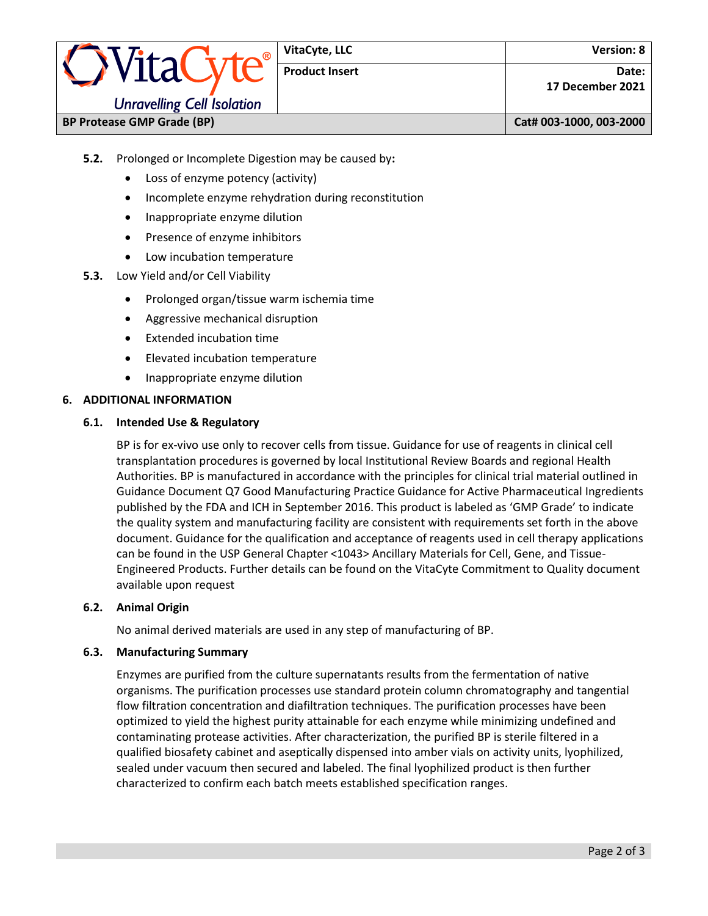| <b>OVitaCyte®</b>                 | VitaCyte, LLC         | <b>Version: 8</b>         |                         |
|-----------------------------------|-----------------------|---------------------------|-------------------------|
|                                   | <b>Product Insert</b> | Date:<br>17 December 2021 |                         |
| <b>Unravelling Cell Isolation</b> |                       |                           |                         |
| <b>BP Protease GMP Grade (BP)</b> |                       |                           | Cat# 003-1000, 003-2000 |

- **5.2.** Prolonged or Incomplete Digestion may be caused by**:**
	- Loss of enzyme potency (activity)
	- Incomplete enzyme rehydration during reconstitution
	- Inappropriate enzyme dilution
	- Presence of enzyme inhibitors
	- Low incubation temperature
- **5.3.** Low Yield and/or Cell Viability
	- Prolonged organ/tissue warm ischemia time
	- Aggressive mechanical disruption
	- Extended incubation time
	- Elevated incubation temperature
	- Inappropriate enzyme dilution

## **6. ADDITIONAL INFORMATION**

## **6.1. Intended Use & Regulatory**

BP is for ex-vivo use only to recover cells from tissue. Guidance for use of reagents in clinical cell transplantation procedures is governed by local Institutional Review Boards and regional Health Authorities. BP is manufactured in accordance with the principles for clinical trial material outlined in Guidance Document Q7 Good Manufacturing Practice Guidance for Active Pharmaceutical Ingredients published by the FDA and ICH in September 2016. This product is labeled as 'GMP Grade' to indicate the quality system and manufacturing facility are consistent with requirements set forth in the above document. Guidance for the qualification and acceptance of reagents used in cell therapy applications can be found in the USP General Chapter <1043> Ancillary Materials for Cell, Gene, and Tissue-Engineered Products. Further details can be found on the VitaCyte Commitment to Quality document available upon request

#### **6.2. Animal Origin**

No animal derived materials are used in any step of manufacturing of BP.

#### **6.3. Manufacturing Summary**

Enzymes are purified from the culture supernatants results from the fermentation of native organisms. The purification processes use standard protein column chromatography and tangential flow filtration concentration and diafiltration techniques. The purification processes have been optimized to yield the highest purity attainable for each enzyme while minimizing undefined and contaminating protease activities. After characterization, the purified BP is sterile filtered in a qualified biosafety cabinet and aseptically dispensed into amber vials on activity units, lyophilized, sealed under vacuum then secured and labeled. The final lyophilized product is then further characterized to confirm each batch meets established specification ranges.